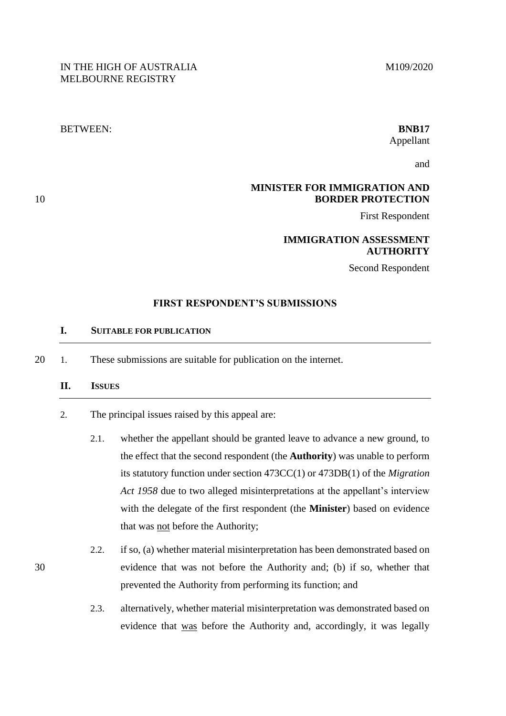# BETWEEN: **BNB17**

# Appellant

and

## **MINISTER FOR IMMIGRATION AND**  10 **BORDER PROTECTION**

First Respondent

## **IMMIGRATION ASSESSMENT AUTHORITY**

Second Respondent

## **FIRST RESPONDENT'S SUBMISSIONS**

## **I. SUITABLE FOR PUBLICATION**

20 1. These submissions are suitable for publication on the internet.

## **II. ISSUES**

- 2. The principal issues raised by this appeal are:
	- 2.1. whether the appellant should be granted leave to advance a new ground, to the effect that the second respondent (the **Authority**) was unable to perform its statutory function under section 473CC(1) or 473DB(1) of the *Migration Act 1958* due to two alleged misinterpretations at the appellant's interview with the delegate of the first respondent (the **Minister**) based on evidence that was not before the Authority;
- 2.2. if so, (a) whether material misinterpretation has been demonstrated based on 30 evidence that was not before the Authority and; (b) if so, whether that prevented the Authority from performing its function; and
	- 2.3. alternatively, whether material misinterpretation was demonstrated based on evidence that was before the Authority and, accordingly, it was legally

M109/2020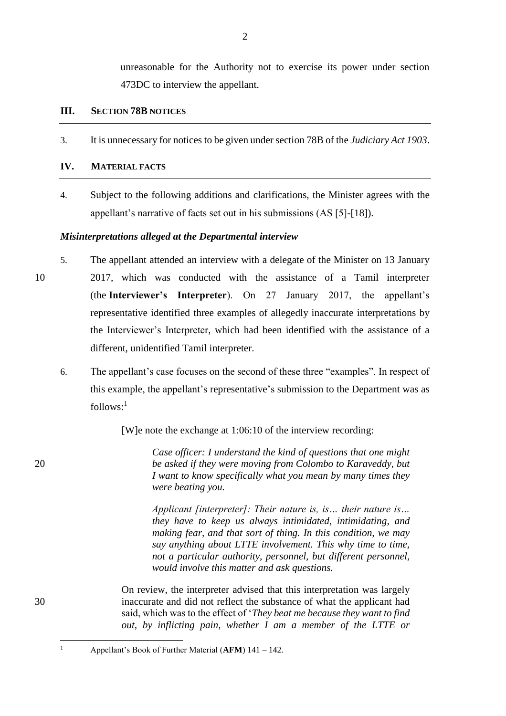unreasonable for the Authority not to exercise its power under section 473DC to interview the appellant.

### **III. SECTION 78B NOTICES**

3. It is unnecessary for notices to be given under section 78B of the *Judiciary Act 1903*.

## **IV. MATERIAL FACTS**

4. Subject to the following additions and clarifications, the Minister agrees with the appellant's narrative of facts set out in his submissions (AS [5]-[18]).

#### *Misinterpretations alleged at the Departmental interview*

- 5. The appellant attended an interview with a delegate of the Minister on 13 January 10 2017, which was conducted with the assistance of a Tamil interpreter (the **Interviewer's Interpreter**). On 27 January 2017, the appellant's representative identified three examples of allegedly inaccurate interpretations by the Interviewer's Interpreter, which had been identified with the assistance of a different, unidentified Tamil interpreter.
	- 6. The appellant's case focuses on the second of these three "examples". In respect of this example, the appellant's representative's submission to the Department was as follows: 1

[W]e note the exchange at 1:06:10 of the interview recording:

*Case officer: I understand the kind of questions that one might*  20 *be asked if they were moving from Colombo to Karaveddy, but I want to know specifically what you mean by many times they were beating you.*

> *Applicant [interpreter]: Their nature is, is… their nature is… they have to keep us always intimidated, intimidating, and making fear, and that sort of thing. In this condition, we may say anything about LTTE involvement. This why time to time, not a particular authority, personnel, but different personnel, would involve this matter and ask questions.*

On review, the interpreter advised that this interpretation was largely 30 inaccurate and did not reflect the substance of what the applicant had said, which was to the effect of '*They beat me because they want to find out, by inflicting pain, whether I am a member of the LTTE or* 

 $\overline{a}$ 

<sup>1</sup> Appellant's Book of Further Material (**AFM**) 141 – 142.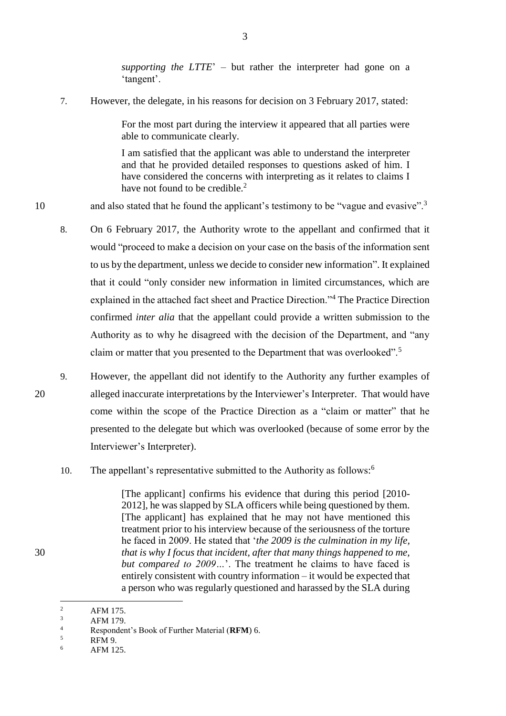*supporting the LTTE*' – but rather the interpreter had gone on a 'tangent'.

7. However, the delegate, in his reasons for decision on 3 February 2017, stated:

For the most part during the interview it appeared that all parties were able to communicate clearly.

I am satisfied that the applicant was able to understand the interpreter and that he provided detailed responses to questions asked of him. I have considered the concerns with interpreting as it relates to claims I have not found to be credible.<sup>2</sup>

and also stated that he found the applicant's testimony to be "vague and evasive".<sup>3</sup>

- 8. On 6 February 2017, the Authority wrote to the appellant and confirmed that it would "proceed to make a decision on your case on the basis of the information sent to us by the department, unless we decide to consider new information". It explained that it could "only consider new information in limited circumstances, which are explained in the attached fact sheet and Practice Direction."<sup>4</sup> The Practice Direction confirmed *inter alia* that the appellant could provide a written submission to the Authority as to why he disagreed with the decision of the Department, and "any claim or matter that you presented to the Department that was overlooked".<sup>5</sup>
- 9. However, the appellant did not identify to the Authority any further examples of 20 alleged inaccurate interpretations by the Interviewer's Interpreter. That would have come within the scope of the Practice Direction as a "claim or matter" that he presented to the delegate but which was overlooked (because of some error by the Interviewer's Interpreter).
	- 10. The appellant's representative submitted to the Authority as follows:<sup>6</sup>

[The applicant] confirms his evidence that during this period [2010- 2012], he was slapped by SLA officers while being questioned by them. [The applicant] has explained that he may not have mentioned this treatment prior to his interview because of the seriousness of the torture he faced in 2009. He stated that '*the 2009 is the culmination in my life,*  30 *that is why I focus that incident, after that many things happened to me, but compared to 2009…*'. The treatment he claims to have faced is entirely consistent with country information – it would be expected that a person who was regularly questioned and harassed by the SLA during

10

 $\overline{c}$ <sup>2</sup> AFM 175.

 $\frac{3}{4}$  AFM 179.

<sup>4</sup> Respondent's Book of Further Material (**RFM**) 6.

 $\frac{5}{6}$  RFM 9.

AFM 125.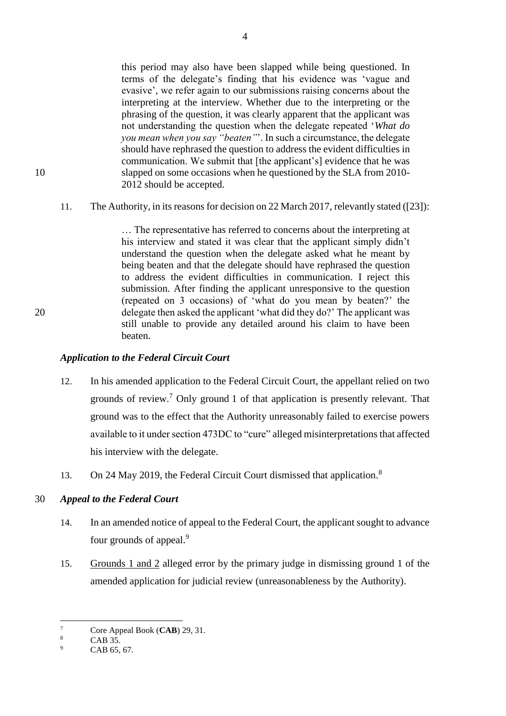this period may also have been slapped while being questioned. In terms of the delegate's finding that his evidence was 'vague and evasive', we refer again to our submissions raising concerns about the interpreting at the interview. Whether due to the interpreting or the phrasing of the question, it was clearly apparent that the applicant was not understanding the question when the delegate repeated '*What do you mean when you say "beaten"*'. In such a circumstance, the delegate should have rephrased the question to address the evident difficulties in communication. We submit that [the applicant's] evidence that he was 10 slapped on some occasions when he questioned by the SLA from 2010- 2012 should be accepted.

11. The Authority, in its reasons for decision on 22 March 2017, relevantly stated ([23]):

… The representative has referred to concerns about the interpreting at his interview and stated it was clear that the applicant simply didn't understand the question when the delegate asked what he meant by being beaten and that the delegate should have rephrased the question to address the evident difficulties in communication. I reject this submission. After finding the applicant unresponsive to the question (repeated on 3 occasions) of 'what do you mean by beaten?' the 20 delegate then asked the applicant 'what did they do?' The applicant was still unable to provide any detailed around his claim to have been beaten.

## *Application to the Federal Circuit Court*

- 12. In his amended application to the Federal Circuit Court, the appellant relied on two grounds of review. <sup>7</sup> Only ground 1 of that application is presently relevant. That ground was to the effect that the Authority unreasonably failed to exercise powers available to it under section 473DC to "cure" alleged misinterpretations that affected his interview with the delegate.
- 13. On 24 May 2019, the Federal Circuit Court dismissed that application.<sup>8</sup>

## 30 *Appeal to the Federal Court*

- 14. In an amended notice of appeal to the Federal Court, the applicant sought to advance four grounds of appeal.<sup>9</sup>
- 15. Grounds 1 and 2 alleged error by the primary judge in dismissing ground 1 of the amended application for judicial review (unreasonableness by the Authority).

 $\tau$  $\frac{7}{8}$  Core Appeal Book (**CAB**) 29, 31.

 $\frac{8}{9}$  CAB 35.

CAB 65, 67.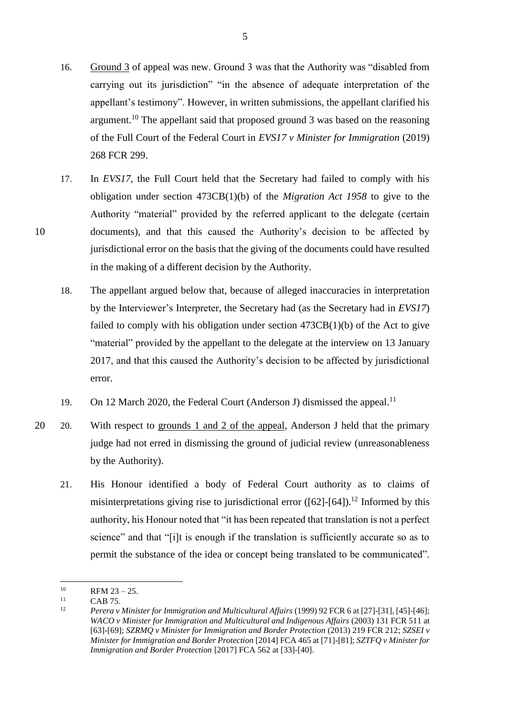- 16. Ground 3 of appeal was new. Ground 3 was that the Authority was "disabled from carrying out its jurisdiction" "in the absence of adequate interpretation of the appellant's testimony". However, in written submissions, the appellant clarified his argument.<sup>10</sup> The appellant said that proposed ground 3 was based on the reasoning of the Full Court of the Federal Court in *EVS17 v Minister for Immigration* (2019) 268 FCR 299.
- 17. In *EVS17*, the Full Court held that the Secretary had failed to comply with his obligation under section 473CB(1)(b) of the *Migration Act 1958* to give to the Authority "material" provided by the referred applicant to the delegate (certain 10 documents), and that this caused the Authority's decision to be affected by jurisdictional error on the basis that the giving of the documents could have resulted in the making of a different decision by the Authority.
	- 18. The appellant argued below that, because of alleged inaccuracies in interpretation by the Interviewer's Interpreter, the Secretary had (as the Secretary had in *EVS17*) failed to comply with his obligation under section 473CB(1)(b) of the Act to give "material" provided by the appellant to the delegate at the interview on 13 January 2017, and that this caused the Authority's decision to be affected by jurisdictional error.
	- 19. On 12 March 2020, the Federal Court (Anderson J) dismissed the appeal.<sup>11</sup>
- <span id="page-4-0"></span>20 20. With respect to grounds 1 and 2 of the appeal, Anderson J held that the primary judge had not erred in dismissing the ground of judicial review (unreasonableness by the Authority).
	- 21. His Honour identified a body of Federal Court authority as to claims of misinterpretations giving rise to jurisdictional error  $([62]$ - $[64]$ ).<sup>12</sup> Informed by this authority, his Honour noted that "it has been repeated that translation is not a perfect science" and that "[i]t is enough if the translation is sufficiently accurate so as to permit the substance of the idea or concept being translated to be communicated".

 $10$  $^{10}$  RFM 23 – 25.

 $11 \qquad \qquad$  CAB 75.

<sup>12</sup> *Perera v Minister for Immigration and Multicultural Affairs* (1999) 92 FCR 6 at [27]-[31], [45]-[46]; *WACO v Minister for Immigration and Multicultural and Indigenous Affairs* (2003) 131 FCR 511 at [63]-[69]; *SZRMQ v Minister for Immigration and Border Protection* (2013) 219 FCR 212; *SZSEI v Minister for Immigration and Border Protection* [2014] FCA 465 at [71]-[81]; *SZTFQ v Minister for Immigration and Border Protection* [2017] FCA 562 at [33]-[40].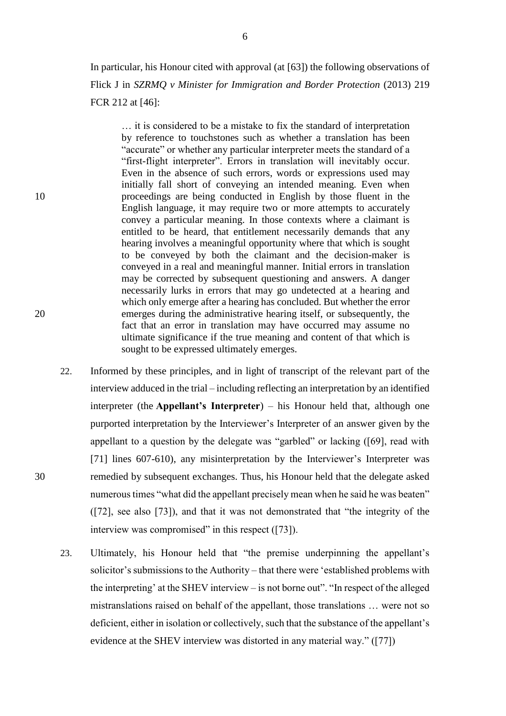In particular, his Honour cited with approval (at [63]) the following observations of Flick J in *SZRMQ v Minister for Immigration and Border Protection* (2013) 219 FCR 212 at [46]:

… it is considered to be a mistake to fix the standard of interpretation by reference to touchstones such as whether a translation has been "accurate" or whether any particular interpreter meets the standard of a "first-flight interpreter". Errors in translation will inevitably occur. Even in the absence of such errors, words or expressions used may initially fall short of conveying an intended meaning. Even when 10 proceedings are being conducted in English by those fluent in the English language, it may require two or more attempts to accurately convey a particular meaning. In those contexts where a claimant is entitled to be heard, that entitlement necessarily demands that any hearing involves a meaningful opportunity where that which is sought to be conveyed by both the claimant and the decision-maker is conveyed in a real and meaningful manner. Initial errors in translation may be corrected by subsequent questioning and answers. A danger necessarily lurks in errors that may go undetected at a hearing and which only emerge after a hearing has concluded. But whether the error 20 emerges during the administrative hearing itself, or subsequently, the fact that an error in translation may have occurred may assume no ultimate significance if the true meaning and content of that which is sought to be expressed ultimately emerges.

- 22. Informed by these principles, and in light of transcript of the relevant part of the interview adduced in the trial – including reflecting an interpretation by an identified interpreter (the **Appellant's Interpreter**) – his Honour held that, although one purported interpretation by the Interviewer's Interpreter of an answer given by the appellant to a question by the delegate was "garbled" or lacking ([69], read with [71] lines 607-610), any misinterpretation by the Interviewer's Interpreter was 30 remedied by subsequent exchanges. Thus, his Honour held that the delegate asked numerous times "what did the appellant precisely mean when he said he was beaten" ([72], see also [73]), and that it was not demonstrated that "the integrity of the interview was compromised" in this respect ([73]).
	- 23. Ultimately, his Honour held that "the premise underpinning the appellant's solicitor's submissions to the Authority – that there were 'established problems with the interpreting' at the SHEV interview – is not borne out". "In respect of the alleged mistranslations raised on behalf of the appellant, those translations … were not so deficient, either in isolation or collectively, such that the substance of the appellant's evidence at the SHEV interview was distorted in any material way." ([77])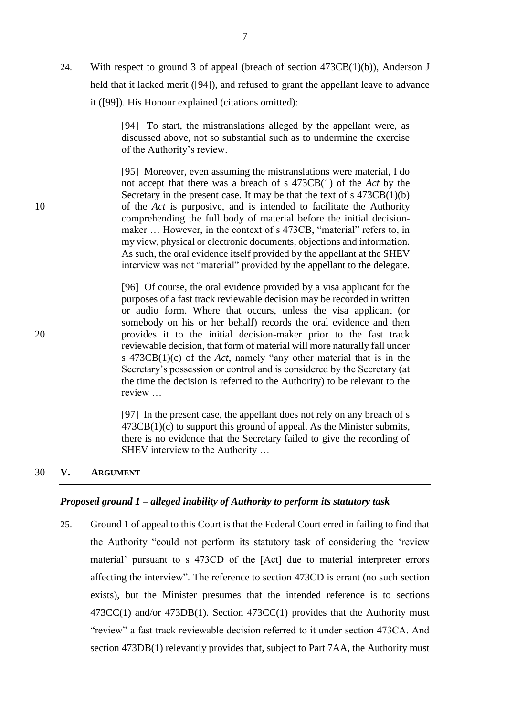24. With respect to ground 3 of appeal (breach of section 473CB(1)(b)), Anderson J held that it lacked merit ([94]), and refused to grant the appellant leave to advance it ([99]). His Honour explained (citations omitted):

> [94] To start, the mistranslations alleged by the appellant were, as discussed above, not so substantial such as to undermine the exercise of the Authority's review.

[95] Moreover, even assuming the mistranslations were material, I do not accept that there was a breach of s 473CB(1) of the *Act* by the Secretary in the present case. It may be that the text of  $s$  473CB(1)(b) 10 of the *Act* is purposive, and is intended to facilitate the Authority comprehending the full body of material before the initial decisionmaker ... However, in the context of s 473CB, "material" refers to, in my view, physical or electronic documents, objections and information. As such, the oral evidence itself provided by the appellant at the SHEV interview was not "material" provided by the appellant to the delegate.

[96] Of course, the oral evidence provided by a visa applicant for the purposes of a fast track reviewable decision may be recorded in written or audio form. Where that occurs, unless the visa applicant (or somebody on his or her behalf) records the oral evidence and then 20 provides it to the initial decision-maker prior to the fast track reviewable decision, that form of material will more naturally fall under s 473CB(1)(c) of the *Act*, namely "any other material that is in the Secretary's possession or control and is considered by the Secretary (at the time the decision is referred to the Authority) to be relevant to the review …

> [97] In the present case, the appellant does not rely on any breach of s  $473CB(1)(c)$  to support this ground of appeal. As the Minister submits, there is no evidence that the Secretary failed to give the recording of SHEV interview to the Authority …

#### 30 **V. ARGUMENT**

#### *Proposed ground 1 – alleged inability of Authority to perform its statutory task*

25. Ground 1 of appeal to this Court is that the Federal Court erred in failing to find that the Authority "could not perform its statutory task of considering the 'review material' pursuant to s 473CD of the [Act] due to material interpreter errors affecting the interview". The reference to section 473CD is errant (no such section exists), but the Minister presumes that the intended reference is to sections 473CC(1) and/or 473DB(1). Section 473CC(1) provides that the Authority must "review" a fast track reviewable decision referred to it under section 473CA. And section 473DB(1) relevantly provides that, subject to Part 7AA, the Authority must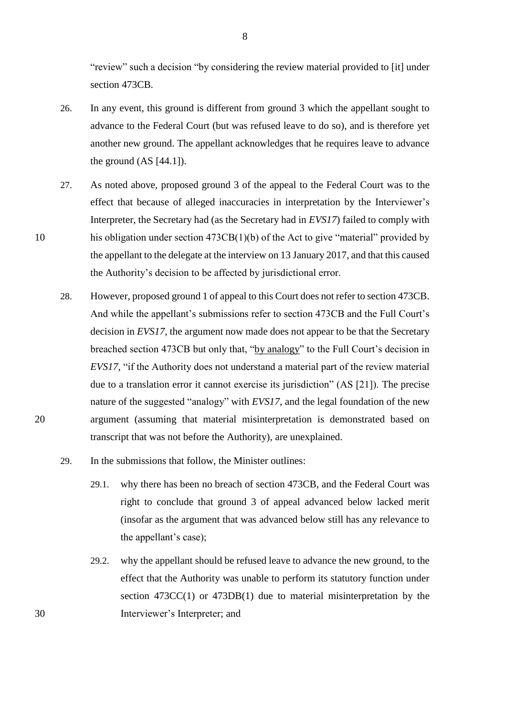"review" such a decision "by considering the review material provided to [it] under section 473CB.

- 26. In any event, this ground is different from ground 3 which the appellant sought to advance to the Federal Court (but was refused leave to do so), and is therefore yet another new ground. The appellant acknowledges that he requires leave to advance the ground  $(AS [44.1]).$
- 27. As noted above, proposed ground 3 of the appeal to the Federal Court was to the effect that because of alleged inaccuracies in interpretation by the Interviewer's Interpreter, the Secretary had (as the Secretary had in *EVS17*) failed to comply with 10 his obligation under section 473CB(1)(b) of the Act to give "material" provided by the appellant to the delegate at the interview on 13 January 2017, and that this caused the Authority's decision to be affected by jurisdictional error.
- 28. However, proposed ground 1 of appeal to this Court does not refer to section 473CB. And while the appellant's submissions refer to section 473CB and the Full Court's decision in *EVS17*, the argument now made does not appear to be that the Secretary breached section 473CB but only that, "by analogy" to the Full Court's decision in *EVS17*, "if the Authority does not understand a material part of the review material due to a translation error it cannot exercise its jurisdiction" (AS [21]). The precise nature of the suggested "analogy" with *EVS17*, and the legal foundation of the new 20 argument (assuming that material misinterpretation is demonstrated based on transcript that was not before the Authority), are unexplained.
	- 29. In the submissions that follow, the Minister outlines:
		- 29.1. why there has been no breach of section 473CB, and the Federal Court was right to conclude that ground 3 of appeal advanced below lacked merit (insofar as the argument that was advanced below still has any relevance to the appellant's case);
- 29.2. why the appellant should be refused leave to advance the new ground, to the effect that the Authority was unable to perform its statutory function under section 473CC(1) or 473DB(1) due to material misinterpretation by the 30 Interviewer's Interpreter; and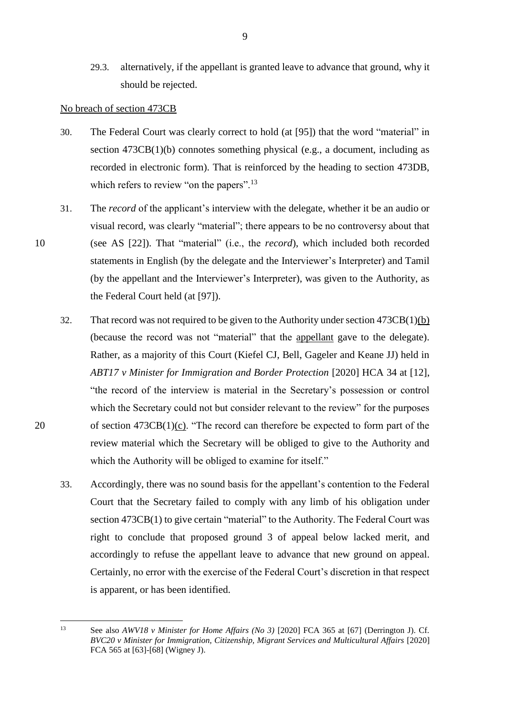29.3. alternatively, if the appellant is granted leave to advance that ground, why it should be rejected.

#### No breach of section 473CB

- 30. The Federal Court was clearly correct to hold (at [95]) that the word "material" in section 473CB(1)(b) connotes something physical (e.g., a document, including as recorded in electronic form). That is reinforced by the heading to section 473DB, which refers to review "on the papers".<sup>13</sup>
- 31. The *record* of the applicant's interview with the delegate, whether it be an audio or visual record, was clearly "material"; there appears to be no controversy about that 10 (see AS [22]). That "material" (i.e., the *record*), which included both recorded statements in English (by the delegate and the Interviewer's Interpreter) and Tamil (by the appellant and the Interviewer's Interpreter), was given to the Authority, as the Federal Court held (at [97]).
- 32. That record was not required to be given to the Authority under section  $473CB(1)(b)$ (because the record was not "material" that the appellant gave to the delegate). Rather, as a majority of this Court (Kiefel CJ, Bell, Gageler and Keane JJ) held in *ABT17 v Minister for Immigration and Border Protection* [2020] HCA 34 at [12], "the record of the interview is material in the Secretary's possession or control which the Secretary could not but consider relevant to the review" for the purposes 20 of section 473CB(1)(c). "The record can therefore be expected to form part of the review material which the Secretary will be obliged to give to the Authority and which the Authority will be obliged to examine for itself."
	- 33. Accordingly, there was no sound basis for the appellant's contention to the Federal Court that the Secretary failed to comply with any limb of his obligation under section 473CB(1) to give certain "material" to the Authority. The Federal Court was right to conclude that proposed ground 3 of appeal below lacked merit, and accordingly to refuse the appellant leave to advance that new ground on appeal. Certainly, no error with the exercise of the Federal Court's discretion in that respect is apparent, or has been identified.

<sup>13</sup> See also *AWV18 v Minister for Home Affairs (No 3)* [2020] FCA 365 at [67] (Derrington J). Cf. *BVC20 v Minister for Immigration, Citizenship, Migrant Services and Multicultural Affairs* [2020] FCA 565 at [63]-[68] (Wigney J).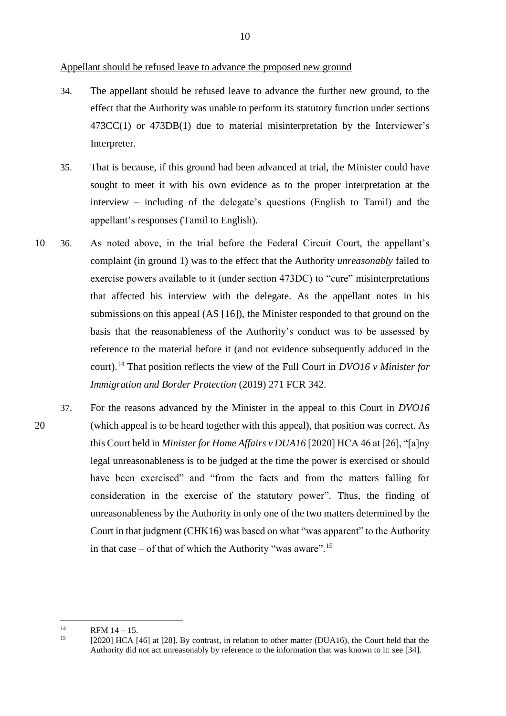Appellant should be refused leave to advance the proposed new ground

- 34. The appellant should be refused leave to advance the further new ground, to the effect that the Authority was unable to perform its statutory function under sections 473CC(1) or 473DB(1) due to material misinterpretation by the Interviewer's Interpreter.
- 35. That is because, if this ground had been advanced at trial, the Minister could have sought to meet it with his own evidence as to the proper interpretation at the interview – including of the delegate's questions (English to Tamil) and the appellant's responses (Tamil to English).
- 10 36. As noted above, in the trial before the Federal Circuit Court, the appellant's complaint (in ground 1) was to the effect that the Authority *unreasonably* failed to exercise powers available to it (under section 473DC) to "cure" misinterpretations that affected his interview with the delegate. As the appellant notes in his submissions on this appeal (AS [16]), the Minister responded to that ground on the basis that the reasonableness of the Authority's conduct was to be assessed by reference to the material before it (and not evidence subsequently adduced in the court).<sup>14</sup> That position reflects the view of the Full Court in *DVO16 v Minister for Immigration and Border Protection* (2019) 271 FCR 342.
- 37. For the reasons advanced by the Minister in the appeal to this Court in *DVO16*  20 (which appeal is to be heard together with this appeal), that position was correct. As this Court held in *Minister for Home Affairs v DUA16* [2020] HCA 46 at [26], "[a]ny legal unreasonableness is to be judged at the time the power is exercised or should have been exercised" and "from the facts and from the matters falling for consideration in the exercise of the statutory power". Thus, the finding of unreasonableness by the Authority in only one of the two matters determined by the Court in that judgment (CHK16) was based on what "was apparent" to the Authority in that case – of that of which the Authority "was aware".<sup>15</sup>

 $14$  $RFM 14 - 15.$ <br>15 [2020] HCA I

<sup>[2020]</sup> HCA [46] at [28]. By contrast, in relation to other matter (DUA16), the Court held that the Authority did not act unreasonably by reference to the information that was known to it: see [34].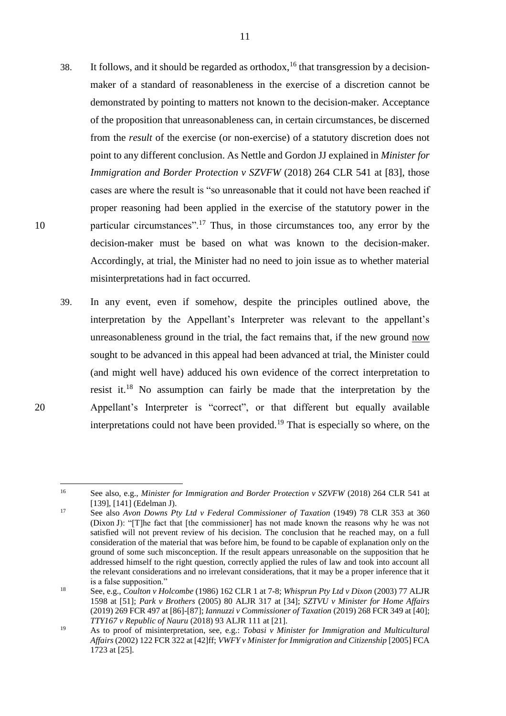- 38. It follows, and it should be regarded as orthodox,  $16$  that transgression by a decisionmaker of a standard of reasonableness in the exercise of a discretion cannot be demonstrated by pointing to matters not known to the decision-maker. Acceptance of the proposition that unreasonableness can, in certain circumstances, be discerned from the *result* of the exercise (or non-exercise) of a statutory discretion does not point to any different conclusion. As Nettle and Gordon JJ explained in *Minister for Immigration and Border Protection v SZVFW (2018) 264 CLR 541 at [83], those* cases are where the result is "so unreasonable that it could not have been reached if proper reasoning had been applied in the exercise of the statutory power in the 10 particular circumstances".<sup>17</sup> Thus, in those circumstances too, any error by the decision-maker must be based on what was known to the decision-maker. Accordingly, at trial, the Minister had no need to join issue as to whether material misinterpretations had in fact occurred.
- 39. In any event, even if somehow, despite the principles outlined above, the interpretation by the Appellant's Interpreter was relevant to the appellant's unreasonableness ground in the trial, the fact remains that, if the new ground now sought to be advanced in this appeal had been advanced at trial, the Minister could (and might well have) adduced his own evidence of the correct interpretation to resist it.<sup>18</sup> No assumption can fairly be made that the interpretation by the 20 Appellant's Interpreter is "correct", or that different but equally available interpretations could not have been provided.<sup>19</sup> That is especially so where, on the
- 

 $16\,$ <sup>16</sup> See also, e.g., *Minister for Immigration and Border Protection v SZVFW* (2018) 264 CLR 541 at [139], [141] (Edelman J).

<sup>17</sup> See also *Avon Downs Pty Ltd v Federal Commissioner of Taxation* (1949) 78 CLR 353 at 360 (Dixon J): "[T]he fact that [the commissioner] has not made known the reasons why he was not satisfied will not prevent review of his decision. The conclusion that he reached may, on a full consideration of the material that was before him, be found to be capable of explanation only on the ground of some such misconception. If the result appears unreasonable on the supposition that he addressed himself to the right question, correctly applied the rules of law and took into account all the relevant considerations and no irrelevant considerations, that it may be a proper inference that it is a false supposition."

<sup>18</sup> See, e.g., *Coulton v Holcombe* (1986) 162 CLR 1 at 7-8; *Whisprun Pty Ltd v Dixon* (2003) 77 ALJR 1598 at [51]; *Park v Brothers* (2005) 80 ALJR 317 at [34]; *SZTVU v Minister for Home Affairs*  (2019) 269 FCR 497 at [86]-[87]; *Iannuzzi v Commissioner of Taxation* (2019) 268 FCR 349 at [40]; *TTY167 v Republic of Nauru* (2018) 93 ALJR 111 at [21].

<sup>19</sup> As to proof of misinterpretation, see, e.g.: *Tobasi v Minister for Immigration and Multicultural Affairs* (2002) 122 FCR 322 at [42]ff; *VWFY v Minister for Immigration and Citizenship* [2005] FCA 1723 at [25].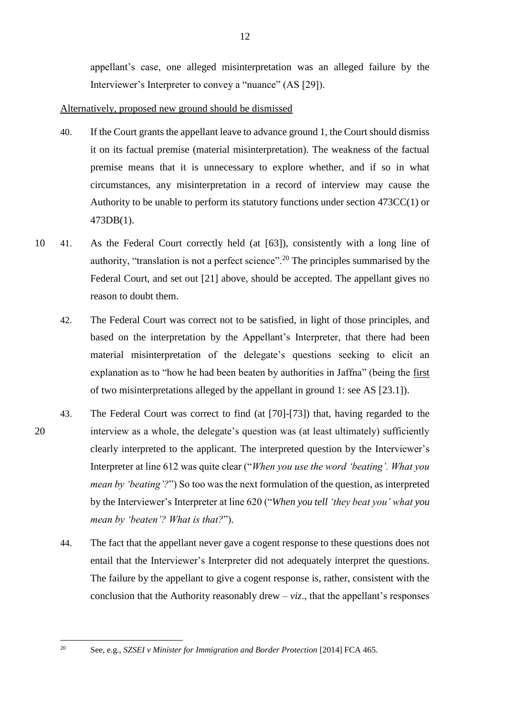appellant's case, one alleged misinterpretation was an alleged failure by the Interviewer's Interpreter to convey a "nuance" (AS [29]).

## Alternatively, proposed new ground should be dismissed

- 40. If the Court grants the appellant leave to advance ground 1, the Court should dismiss it on its factual premise (material misinterpretation). The weakness of the factual premise means that it is unnecessary to explore whether, and if so in what circumstances, any misinterpretation in a record of interview may cause the Authority to be unable to perform its statutory functions under section 473CC(1) or 473DB(1).
- 10 41. As the Federal Court correctly held (at [63]), consistently with a long line of authority, "translation is not a perfect science".<sup>20</sup> The principles summarised by the Federal Court, and set out [\[21\]](#page-4-0) above, should be accepted. The appellant gives no reason to doubt them.
	- 42. The Federal Court was correct not to be satisfied, in light of those principles, and based on the interpretation by the Appellant's Interpreter, that there had been material misinterpretation of the delegate's questions seeking to elicit an explanation as to "how he had been beaten by authorities in Jaffna" (being the first of two misinterpretations alleged by the appellant in ground 1: see AS [23.1]).
- 43. The Federal Court was correct to find (at [70]-[73]) that, having regarded to the 20 interview as a whole, the delegate's question was (at least ultimately) sufficiently clearly interpreted to the applicant. The interpreted question by the Interviewer's Interpreter at line 612 was quite clear ("*When you use the word 'beating'. What you mean by 'beating'?*") So too was the next formulation of the question, as interpreted by the Interviewer's Interpreter at line 620 ("*When you tell 'they beat you' what you mean by 'beaten'? What is that?*").
	- 44. The fact that the appellant never gave a cogent response to these questions does not entail that the Interviewer's Interpreter did not adequately interpret the questions. The failure by the appellant to give a cogent response is, rather, consistent with the conclusion that the Authority reasonably drew  $- viz.$ , that the appellant's responses

 $20\degree$ 

<sup>20</sup> See, e.g., *SZSEI v Minister for Immigration and Border Protection* [2014] FCA 465.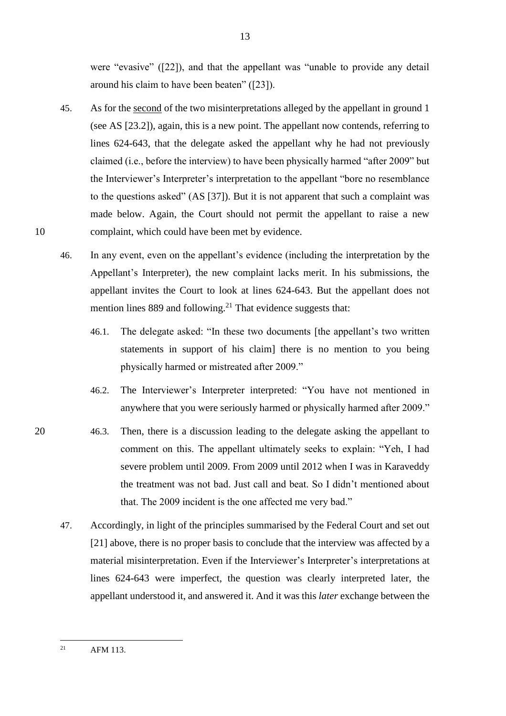were "evasive" ([22]), and that the appellant was "unable to provide any detail around his claim to have been beaten" ([23]).

- 45. As for the second of the two misinterpretations alleged by the appellant in ground 1 (see AS [23.2]), again, this is a new point. The appellant now contends, referring to lines 624-643, that the delegate asked the appellant why he had not previously claimed (i.e., before the interview) to have been physically harmed "after 2009" but the Interviewer's Interpreter's interpretation to the appellant "bore no resemblance to the questions asked" (AS [37]). But it is not apparent that such a complaint was made below. Again, the Court should not permit the appellant to raise a new 10 complaint, which could have been met by evidence.
	- 46. In any event, even on the appellant's evidence (including the interpretation by the Appellant's Interpreter), the new complaint lacks merit. In his submissions, the appellant invites the Court to look at lines 624-643. But the appellant does not mention lines 889 and following.<sup>21</sup> That evidence suggests that:
		- 46.1. The delegate asked: "In these two documents [the appellant's two written statements in support of his claim] there is no mention to you being physically harmed or mistreated after 2009."
		- 46.2. The Interviewer's Interpreter interpreted: "You have not mentioned in anywhere that you were seriously harmed or physically harmed after 2009."
- 20 46.3. Then, there is a discussion leading to the delegate asking the appellant to comment on this. The appellant ultimately seeks to explain: "Yeh, I had severe problem until 2009. From 2009 until 2012 when I was in Karaveddy the treatment was not bad. Just call and beat. So I didn't mentioned about that. The 2009 incident is the one affected me very bad."
	- 47. Accordingly, in light of the principles summarised by the Federal Court and set out [\[21\]](#page-4-0) above, there is no proper basis to conclude that the interview was affected by a material misinterpretation. Even if the Interviewer's Interpreter's interpretations at lines 624-643 were imperfect, the question was clearly interpreted later, the appellant understood it, and answered it. And it was this *later* exchange between the

 $21$ AFM 113.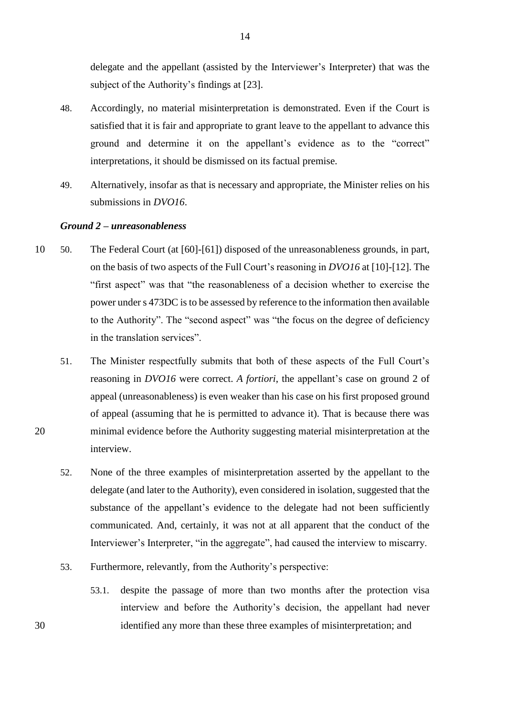delegate and the appellant (assisted by the Interviewer's Interpreter) that was the subject of the Authority's findings at [23].

- 48. Accordingly, no material misinterpretation is demonstrated. Even if the Court is satisfied that it is fair and appropriate to grant leave to the appellant to advance this ground and determine it on the appellant's evidence as to the "correct" interpretations, it should be dismissed on its factual premise.
- 49. Alternatively, insofar as that is necessary and appropriate, the Minister relies on his submissions in *DVO16*.

#### *Ground 2 – unreasonableness*

- 10 50. The Federal Court (at [60]-[61]) disposed of the unreasonableness grounds, in part, on the basis of two aspects of the Full Court's reasoning in *DVO16* at [10]-[12]. The "first aspect" was that "the reasonableness of a decision whether to exercise the power under s 473DC is to be assessed by reference to the information then available to the Authority". The "second aspect" was "the focus on the degree of deficiency in the translation services".
- 51. The Minister respectfully submits that both of these aspects of the Full Court's reasoning in *DVO16* were correct. *A fortiori*, the appellant's case on ground 2 of appeal (unreasonableness) is even weaker than his case on his first proposed ground of appeal (assuming that he is permitted to advance it). That is because there was 20 minimal evidence before the Authority suggesting material misinterpretation at the interview.
	- 52. None of the three examples of misinterpretation asserted by the appellant to the delegate (and later to the Authority), even considered in isolation, suggested that the substance of the appellant's evidence to the delegate had not been sufficiently communicated. And, certainly, it was not at all apparent that the conduct of the Interviewer's Interpreter, "in the aggregate", had caused the interview to miscarry.
	- 53. Furthermore, relevantly, from the Authority's perspective:
- 53.1. despite the passage of more than two months after the protection visa interview and before the Authority's decision, the appellant had never 30 identified any more than these three examples of misinterpretation; and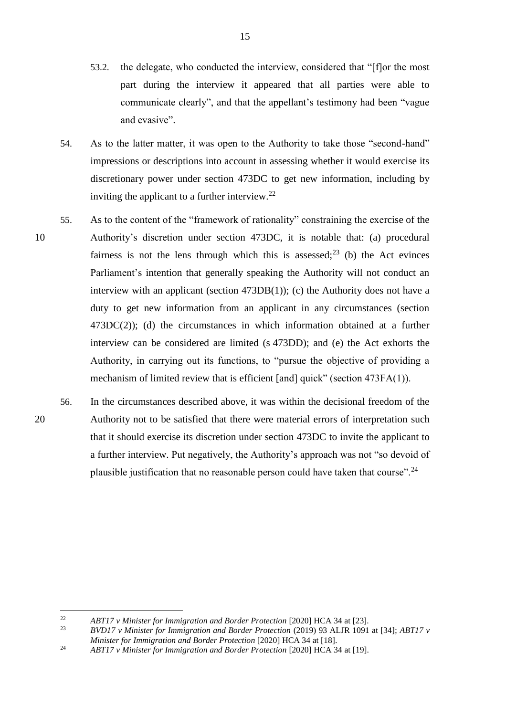- 53.2. the delegate, who conducted the interview, considered that "[f]or the most part during the interview it appeared that all parties were able to communicate clearly", and that the appellant's testimony had been "vague and evasive".
- 54. As to the latter matter, it was open to the Authority to take those "second-hand" impressions or descriptions into account in assessing whether it would exercise its discretionary power under section 473DC to get new information, including by inviting the applicant to a further interview. $22$
- 55. As to the content of the "framework of rationality" constraining the exercise of the 10 Authority's discretion under section 473DC, it is notable that: (a) procedural fairness is not the lens through which this is assessed; $^{23}$  (b) the Act evinces Parliament's intention that generally speaking the Authority will not conduct an interview with an applicant (section  $473DB(1)$ ); (c) the Authority does not have a duty to get new information from an applicant in any circumstances (section 473DC(2)); (d) the circumstances in which information obtained at a further interview can be considered are limited (s 473DD); and (e) the Act exhorts the Authority, in carrying out its functions, to "pursue the objective of providing a mechanism of limited review that is efficient [and] quick" (section 473FA(1)).
- 56. In the circumstances described above, it was within the decisional freedom of the 20 Authority not to be satisfied that there were material errors of interpretation such that it should exercise its discretion under section 473DC to invite the applicant to a further interview. Put negatively, the Authority's approach was not "so devoid of plausible justification that no reasonable person could have taken that course".<sup>24</sup>

 $22$ <sup>22</sup> *ABT17 v Minister for Immigration and Border Protection* [2020] HCA 34 at [23].<br><sup>23</sup> *PVD17 v Minister for Immigration and Border Protection* (2010) 03 AJ IP 1001

<sup>23</sup> *BVD17 v Minister for Immigration and Border Protection* (2019) 93 ALJR 1091 at [34]; *ABT17 v Minister for Immigration and Border Protection* [2020] HCA 34 at [18].

<sup>&</sup>lt;sup>24</sup> *ABT17 v Minister for Immigration and Border Protection* [2020] HCA 34 at [19].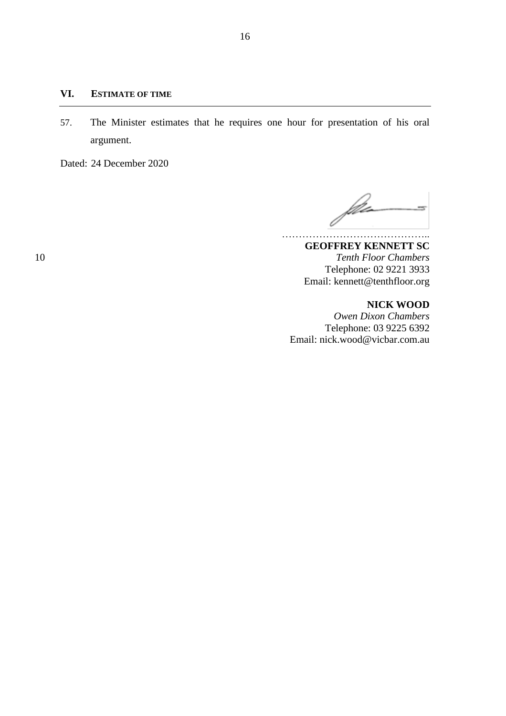#### **VI. ESTIMATE OF TIME**

57. The Minister estimates that he requires one hour for presentation of his oral argument.

Dated: 24 December 2020

 $\int dx$ 

**GEOFFREY KENNETT SC** 10 *Tenth Floor Chambers* Telephone: 02 9221 3933 Email: kennett@tenthfloor.org

#### **NICK WOOD**

*Owen Dixon Chambers* Telephone: 03 9225 6392 Email: nick.wood@vicbar.com.au